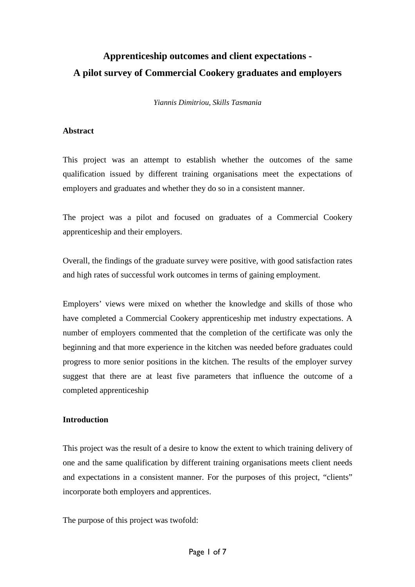# **Apprenticeship outcomes and client expectations - A pilot survey of Commercial Cookery graduates and employers**

*Yiannis Dimitriou, Skills Tasmania* 

#### **Abstract**

This project was an attempt to establish whether the outcomes of the same qualification issued by different training organisations meet the expectations of employers and graduates and whether they do so in a consistent manner.

The project was a pilot and focused on graduates of a Commercial Cookery apprenticeship and their employers.

Overall, the findings of the graduate survey were positive, with good satisfaction rates and high rates of successful work outcomes in terms of gaining employment.

Employers' views were mixed on whether the knowledge and skills of those who have completed a Commercial Cookery apprenticeship met industry expectations. A number of employers commented that the completion of the certificate was only the beginning and that more experience in the kitchen was needed before graduates could progress to more senior positions in the kitchen. The results of the employer survey suggest that there are at least five parameters that influence the outcome of a completed apprenticeship

# **Introduction**

This project was the result of a desire to know the extent to which training delivery of one and the same qualification by different training organisations meets client needs and expectations in a consistent manner. For the purposes of this project, "clients" incorporate both employers and apprentices.

The purpose of this project was twofold: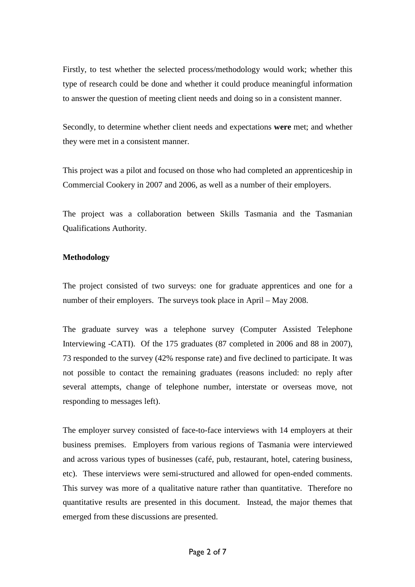Firstly, to test whether the selected process/methodology would work; whether this type of research could be done and whether it could produce meaningful information to answer the question of meeting client needs and doing so in a consistent manner.

Secondly, to determine whether client needs and expectations **were** met; and whether they were met in a consistent manner.

This project was a pilot and focused on those who had completed an apprenticeship in Commercial Cookery in 2007 and 2006, as well as a number of their employers.

The project was a collaboration between Skills Tasmania and the Tasmanian Qualifications Authority.

## **Methodology**

The project consisted of two surveys: one for graduate apprentices and one for a number of their employers. The surveys took place in April – May 2008.

The graduate survey was a telephone survey (Computer Assisted Telephone Interviewing -CATI). Of the 175 graduates (87 completed in 2006 and 88 in 2007), 73 responded to the survey (42% response rate) and five declined to participate. It was not possible to contact the remaining graduates (reasons included: no reply after several attempts, change of telephone number, interstate or overseas move, not responding to messages left).

The employer survey consisted of face-to-face interviews with 14 employers at their business premises. Employers from various regions of Tasmania were interviewed and across various types of businesses (café, pub, restaurant, hotel, catering business, etc). These interviews were semi-structured and allowed for open-ended comments. This survey was more of a qualitative nature rather than quantitative. Therefore no quantitative results are presented in this document. Instead, the major themes that emerged from these discussions are presented.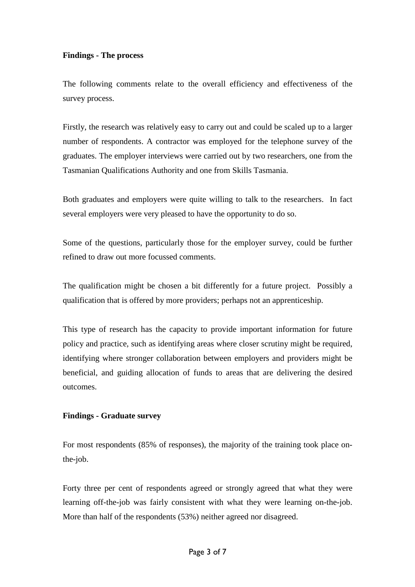## **Findings - The process**

The following comments relate to the overall efficiency and effectiveness of the survey process.

Firstly, the research was relatively easy to carry out and could be scaled up to a larger number of respondents. A contractor was employed for the telephone survey of the graduates. The employer interviews were carried out by two researchers, one from the Tasmanian Qualifications Authority and one from Skills Tasmania.

Both graduates and employers were quite willing to talk to the researchers. In fact several employers were very pleased to have the opportunity to do so.

Some of the questions, particularly those for the employer survey, could be further refined to draw out more focussed comments.

The qualification might be chosen a bit differently for a future project. Possibly a qualification that is offered by more providers; perhaps not an apprenticeship.

This type of research has the capacity to provide important information for future policy and practice, such as identifying areas where closer scrutiny might be required, identifying where stronger collaboration between employers and providers might be beneficial, and guiding allocation of funds to areas that are delivering the desired outcomes.

# **Findings - Graduate survey**

For most respondents (85% of responses), the majority of the training took place onthe-job.

Forty three per cent of respondents agreed or strongly agreed that what they were learning off-the-job was fairly consistent with what they were learning on-the-job. More than half of the respondents (53%) neither agreed nor disagreed.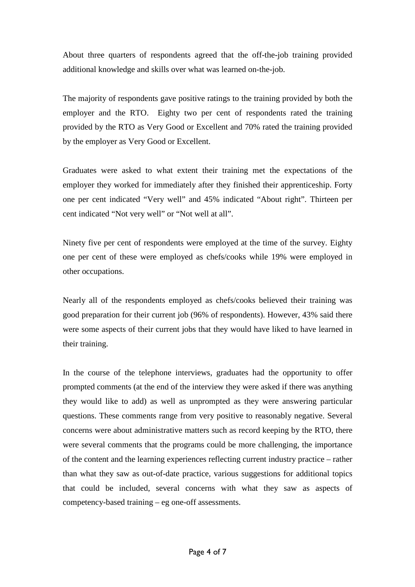About three quarters of respondents agreed that the off-the-job training provided additional knowledge and skills over what was learned on-the-job.

The majority of respondents gave positive ratings to the training provided by both the employer and the RTO. Eighty two per cent of respondents rated the training provided by the RTO as Very Good or Excellent and 70% rated the training provided by the employer as Very Good or Excellent.

Graduates were asked to what extent their training met the expectations of the employer they worked for immediately after they finished their apprenticeship. Forty one per cent indicated "Very well" and 45% indicated "About right". Thirteen per cent indicated "Not very well" or "Not well at all".

Ninety five per cent of respondents were employed at the time of the survey. Eighty one per cent of these were employed as chefs/cooks while 19% were employed in other occupations.

Nearly all of the respondents employed as chefs/cooks believed their training was good preparation for their current job (96% of respondents). However, 43% said there were some aspects of their current jobs that they would have liked to have learned in their training.

In the course of the telephone interviews, graduates had the opportunity to offer prompted comments (at the end of the interview they were asked if there was anything they would like to add) as well as unprompted as they were answering particular questions. These comments range from very positive to reasonably negative. Several concerns were about administrative matters such as record keeping by the RTO, there were several comments that the programs could be more challenging, the importance of the content and the learning experiences reflecting current industry practice – rather than what they saw as out-of-date practice, various suggestions for additional topics that could be included, several concerns with what they saw as aspects of competency-based training – eg one-off assessments.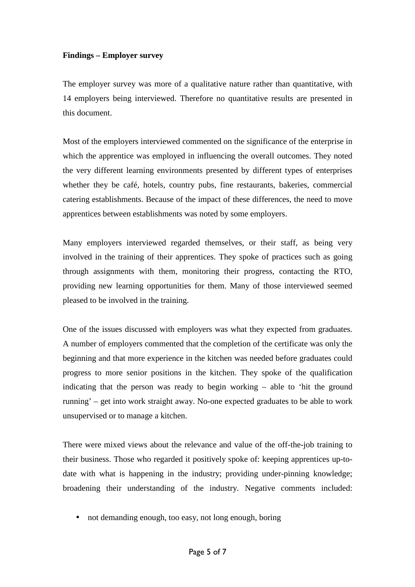# **Findings – Employer survey**

The employer survey was more of a qualitative nature rather than quantitative, with 14 employers being interviewed. Therefore no quantitative results are presented in this document.

Most of the employers interviewed commented on the significance of the enterprise in which the apprentice was employed in influencing the overall outcomes. They noted the very different learning environments presented by different types of enterprises whether they be café, hotels, country pubs, fine restaurants, bakeries, commercial catering establishments. Because of the impact of these differences, the need to move apprentices between establishments was noted by some employers.

Many employers interviewed regarded themselves, or their staff, as being very involved in the training of their apprentices. They spoke of practices such as going through assignments with them, monitoring their progress, contacting the RTO, providing new learning opportunities for them. Many of those interviewed seemed pleased to be involved in the training.

One of the issues discussed with employers was what they expected from graduates. A number of employers commented that the completion of the certificate was only the beginning and that more experience in the kitchen was needed before graduates could progress to more senior positions in the kitchen. They spoke of the qualification indicating that the person was ready to begin working – able to 'hit the ground running' – get into work straight away. No-one expected graduates to be able to work unsupervised or to manage a kitchen.

There were mixed views about the relevance and value of the off-the-job training to their business. Those who regarded it positively spoke of: keeping apprentices up-todate with what is happening in the industry; providing under-pinning knowledge; broadening their understanding of the industry. Negative comments included:

• not demanding enough, too easy, not long enough, boring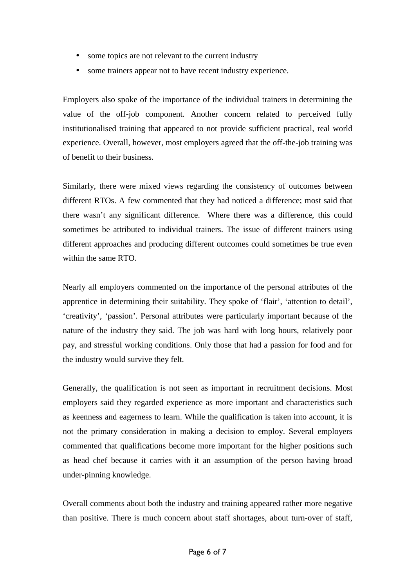- some topics are not relevant to the current industry
- some trainers appear not to have recent industry experience.

Employers also spoke of the importance of the individual trainers in determining the value of the off-job component. Another concern related to perceived fully institutionalised training that appeared to not provide sufficient practical, real world experience. Overall, however, most employers agreed that the off-the-job training was of benefit to their business.

Similarly, there were mixed views regarding the consistency of outcomes between different RTOs. A few commented that they had noticed a difference; most said that there wasn't any significant difference. Where there was a difference, this could sometimes be attributed to individual trainers. The issue of different trainers using different approaches and producing different outcomes could sometimes be true even within the same RTO.

Nearly all employers commented on the importance of the personal attributes of the apprentice in determining their suitability. They spoke of 'flair', 'attention to detail', 'creativity', 'passion'. Personal attributes were particularly important because of the nature of the industry they said. The job was hard with long hours, relatively poor pay, and stressful working conditions. Only those that had a passion for food and for the industry would survive they felt.

Generally, the qualification is not seen as important in recruitment decisions. Most employers said they regarded experience as more important and characteristics such as keenness and eagerness to learn. While the qualification is taken into account, it is not the primary consideration in making a decision to employ. Several employers commented that qualifications become more important for the higher positions such as head chef because it carries with it an assumption of the person having broad under-pinning knowledge.

Overall comments about both the industry and training appeared rather more negative than positive. There is much concern about staff shortages, about turn-over of staff,